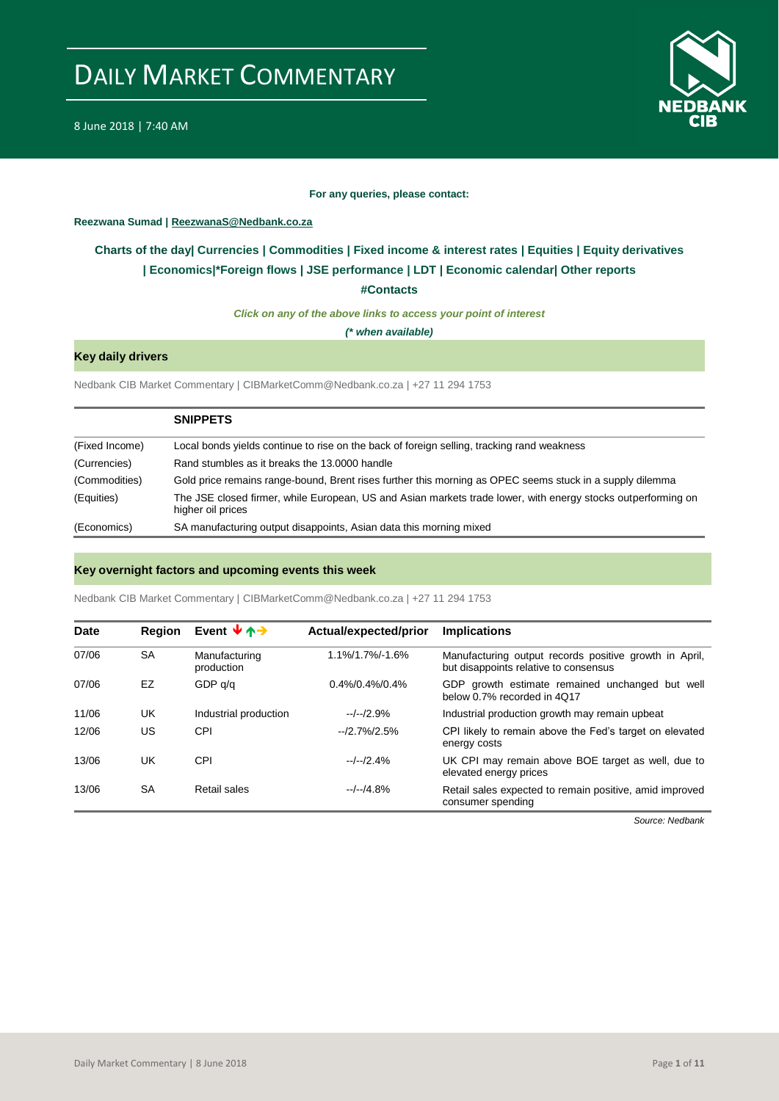

#### **For any queries, please contact:**

#### <span id="page-0-0"></span>**Reezwana Sumad | ReezwanaS@Nedbank.co.za**

### **Charts of the day| [Currencies](#page-2-0) [| Commodities](#page-3-0) | [Fixed income &](#page-1-0) interest rates | [Equities](#page-4-0) | Equity derivatives | [Economics|\\*](#page-7-0)Foreign flows | JSE performance | [LDT](#page-5-0) | [Economic calendar|](#page-8-0) Other reports**

**[#Contacts](#page-9-0)**

*Click on any of the above links to access your point of interest*

*(\* when available)*

#### **Key daily drivers**

Nedbank CIB Market Commentary | CIBMarketComm@Nedbank.co.za | +27 11 294 1753

|                | <b>SNIPPETS</b>                                                                                                                   |
|----------------|-----------------------------------------------------------------------------------------------------------------------------------|
| (Fixed Income) | Local bonds yields continue to rise on the back of foreign selling, tracking rand weakness                                        |
| (Currencies)   | Rand stumbles as it breaks the 13,0000 handle                                                                                     |
| (Commodities)  | Gold price remains range-bound, Brent rises further this morning as OPEC seems stuck in a supply dilemma                          |
| (Equities)     | The JSE closed firmer, while European, US and Asian markets trade lower, with energy stocks outperforming on<br>higher oil prices |
| (Economics)    | SA manufacturing output disappoints, Asian data this morning mixed                                                                |

#### **Key overnight factors and upcoming events this week**

Nedbank CIB Market Commentary | CIBMarketComm@Nedbank.co.za | +27 11 294 1753

| Date  | Region    | Event $\forall$ $\uparrow$ $\rightarrow$ | Actual/expected/prior | <b>Implications</b>                                                                             |
|-------|-----------|------------------------------------------|-----------------------|-------------------------------------------------------------------------------------------------|
| 07/06 | <b>SA</b> | Manufacturing<br>production              | 1.1%/1.7%/-1.6%       | Manufacturing output records positive growth in April,<br>but disappoints relative to consensus |
| 07/06 | EZ        | GDP q/q                                  | $0.4\%/0.4\%/0.4\%$   | GDP growth estimate remained unchanged but well<br>below 0.7% recorded in 4Q17                  |
| 11/06 | UK        | Industrial production                    | $-/-/2.9%$            | Industrial production growth may remain upbeat                                                  |
| 12/06 | US        | CPI                                      | $-2.7\%/2.5\%$        | CPI likely to remain above the Fed's target on elevated<br>energy costs                         |
| 13/06 | UK        | CPI                                      | $-/-/2.4%$            | UK CPI may remain above BOE target as well, due to<br>elevated energy prices                    |
| 13/06 | <b>SA</b> | Retail sales                             | $-/-/4.8%$            | Retail sales expected to remain positive, amid improved<br>consumer spending                    |

*Source: Nedbank*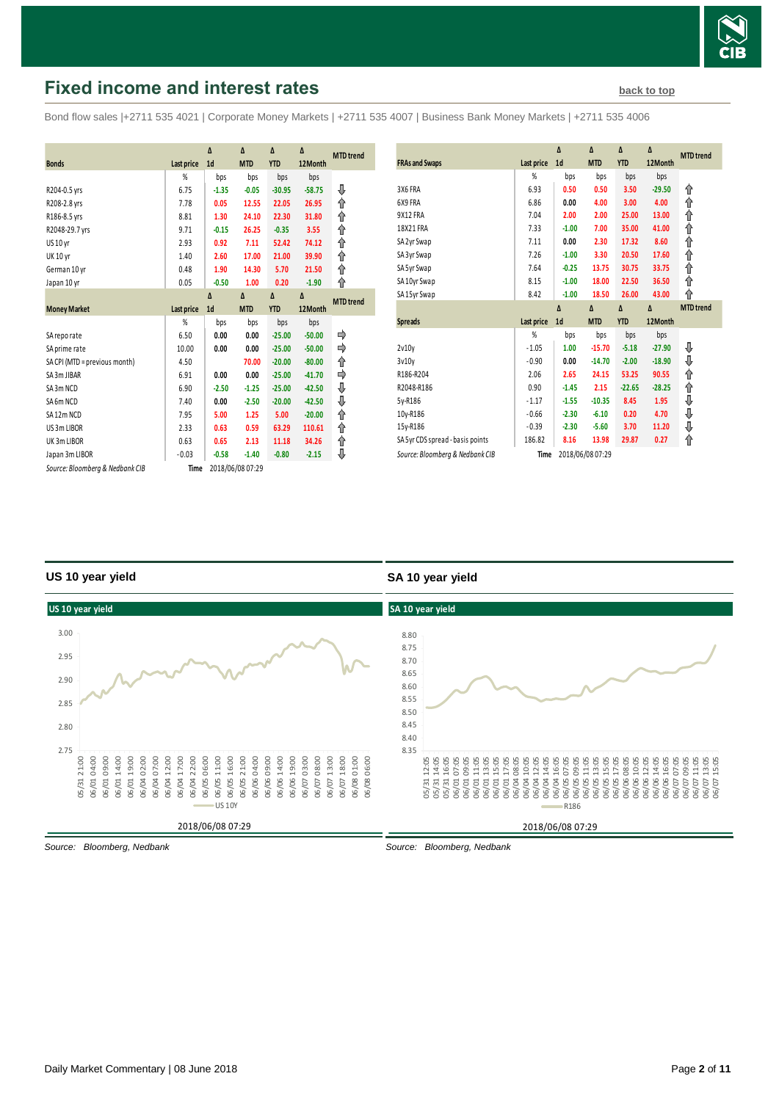

# <span id="page-1-0"></span>**Fixed income and interest rates [back to top](#page-0-0) back to top**

Bond flow sales |+2711 535 4021 | Corporate Money Markets | +2711 535 4007 | Business Bank Money Markets | +2711 535 4006

|                                 |                   | Δ              | Δ                | Δ          | Δ        |                  |
|---------------------------------|-------------------|----------------|------------------|------------|----------|------------------|
|                                 |                   |                |                  |            |          | <b>MTD</b> trend |
| <b>Bonds</b>                    | <b>Last price</b> | 1 <sub>d</sub> | <b>MTD</b>       | <b>YTD</b> | 12Month  |                  |
|                                 | %                 | bps            | bps              | bps        | bps      |                  |
| R204-0.5 yrs                    | 6.75              | $-1.35$        | $-0.05$          | $-30.95$   | $-58.75$ | ⇓                |
| R208-2.8 yrs                    | 7.78              | 0.05           | 12.55            | 22.05      | 26.95    | ⇑                |
| R186-8.5 yrs                    | 8.81              | 1.30           | 24.10            | 22.30      | 31.80    | ↟                |
| R2048-29.7 yrs                  | 9.71              | $-0.15$        | 26.25            | $-0.35$    | 3.55     | ⇑                |
| <b>US 10 yr</b>                 | 2.93              | 0.92           | 7.11             | 52.42      | 74.12    | ↟                |
| <b>UK 10 yr</b>                 | 1.40              | 2.60           | 17.00            | 21.00      | 39.90    | ↟                |
| German 10 yr                    | 0.48              | 1.90           | 14.30            | 5.70       | 21.50    | ↑                |
| Japan 10 yr                     | 0.05              | $-0.50$        | 1.00             | 0.20       | $-1.90$  | ⇑                |
|                                 |                   | $\Lambda$      | $\Lambda$        | Δ          | $\Delta$ | <b>MTD</b> trend |
| <b>Money Market</b>             | <b>Last price</b> | 1 <sub>d</sub> | <b>MTD</b>       | <b>YTD</b> | 12Month  |                  |
|                                 | %                 | bps            | bps              | bps        | bps      |                  |
| SA reporate                     | 6.50              | 0.00           | 0.00             | $-25.00$   | $-50.00$ |                  |
| SA prime rate                   | 10.00             | 0.00           | 0.00             | $-25.00$   | $-50.00$ | ⇛                |
| SA CPI (MTD = previous month)   | 4.50              |                | 70.00            | $-20.00$   | $-80.00$ | ↟                |
| SA 3m JIBAR                     | 6.91              | 0.00           | 0.00             | $-25.00$   | $-41.70$ |                  |
| SA3m NCD                        | 6.90              | $-2.50$        | $-1.25$          | $-25.00$   | $-42.50$ | ⇓                |
| SA6m NCD                        | 7.40              | 0.00           | $-2.50$          | $-20.00$   | $-42.50$ | ⇓                |
| SA12m NCD                       | 7.95              | 5.00           | 1.25             | 5.00       | $-20.00$ | ↟                |
| US 3m LIBOR                     | 2.33              | 0.63           | 0.59             | 63.29      | 110.61   | ⇑                |
| UK3m LIBOR                      | 0.63              | 0.65           | 2.13             | 11.18      | 34.26    | ↟                |
| Japan 3m LIBOR                  | $-0.03$           | $-0.58$        | $-1.40$          | $-0.80$    | $-2.15$  | ⇓                |
| Source: Bloomberg & Nedbank CIB | Time              |                | 2018/06/08 07:29 |            |          |                  |

| <b>FRAs and Swaps</b>            | Last price | Δ<br>1 <sub>d</sub> | Δ<br><b>MTD</b> | Δ<br><b>YTD</b> | Δ<br>12Month | <b>MTD</b> trend |
|----------------------------------|------------|---------------------|-----------------|-----------------|--------------|------------------|
|                                  | %          | bps                 | bps             | bps             | bps          |                  |
| 3X6 FRA                          | 6.93       | 0.50                | 0.50            | 3.50            | $-29.50$     | ⇑                |
| 6X9 FRA                          | 6.86       | 0.00                | 4.00            | 3.00            | 4.00         | ⇑                |
| 9X12 FRA                         | 7.04       | 2.00                | 2.00            | 25.00           | 13.00        | ⇑                |
| 18X21 FRA                        | 7.33       | $-1.00$             | 7.00            | 35.00           | 41.00        | ⇑                |
| SA 2yr Swap                      | 7.11       | 0.00                | 2.30            | 17.32           | 8.60         | ⇑                |
| SA 3yr Swap                      | 7.26       | $-1.00$             | 3.30            | 20.50           | 17.60        | ⇑                |
| SA 5yr Swap                      | 7.64       | $-0.25$             | 13.75           | 30.75           | 33.75        | ⇑                |
| SA 10yr Swap                     | 8.15       | $-1.00$             | 18.00           | 22.50           | 36.50        | ⇑                |
| SA 15yr Swap                     | 8.42       | $-1.00$             | 18.50           | 26.00           | 43.00        | ⇑                |
|                                  |            | $\Delta$            | $\Delta$        | $\Delta$        | Δ            | <b>MTD</b> trend |
|                                  |            |                     |                 |                 |              |                  |
| <b>Spreads</b>                   | Last price | 1 <sub>d</sub>      | <b>MTD</b>      | <b>YTD</b>      | 12Month      |                  |
|                                  | %          | bps                 | bps             | bps             | bps          |                  |
| 2v10v                            | $-1.05$    | 1.00                | $-15.70$        | $-5.18$         | $-27.90$     | ⊕                |
| 3v10v                            | $-0.90$    | 0.00                | $-14.70$        | $-2.00$         | $-18.90$     |                  |
| R186-R204                        | 2.06       | 2.65                | 24.15           | 53.25           | 90.55        | ⇓                |
| R2048-R186                       | 0.90       | $-1.45$             | 2.15            | $-22.65$        | $-28.25$     | ⇑<br>⇑           |
| 5y-R186                          | $-1.17$    | $-1.55$             | $-10.35$        | 8.45            | 1.95         |                  |
| 10y-R186                         | $-0.66$    | $-2.30$             | $-6.10$         | 0.20            | 4.70         | ⇓                |
| 15y-R186                         | $-0.39$    | $-2.30$             | $-5.60$         | 3.70            | 11.20        | ⇓<br>⇓           |
| SA 5yr CDS spread - basis points | 186.82     | 8.16                | 13.98           | 29.87           | 0.27         | ⇑                |

### **US 10 year yield**

#### **SA 10 year yield**



*Source: Bloomberg, Nedbank*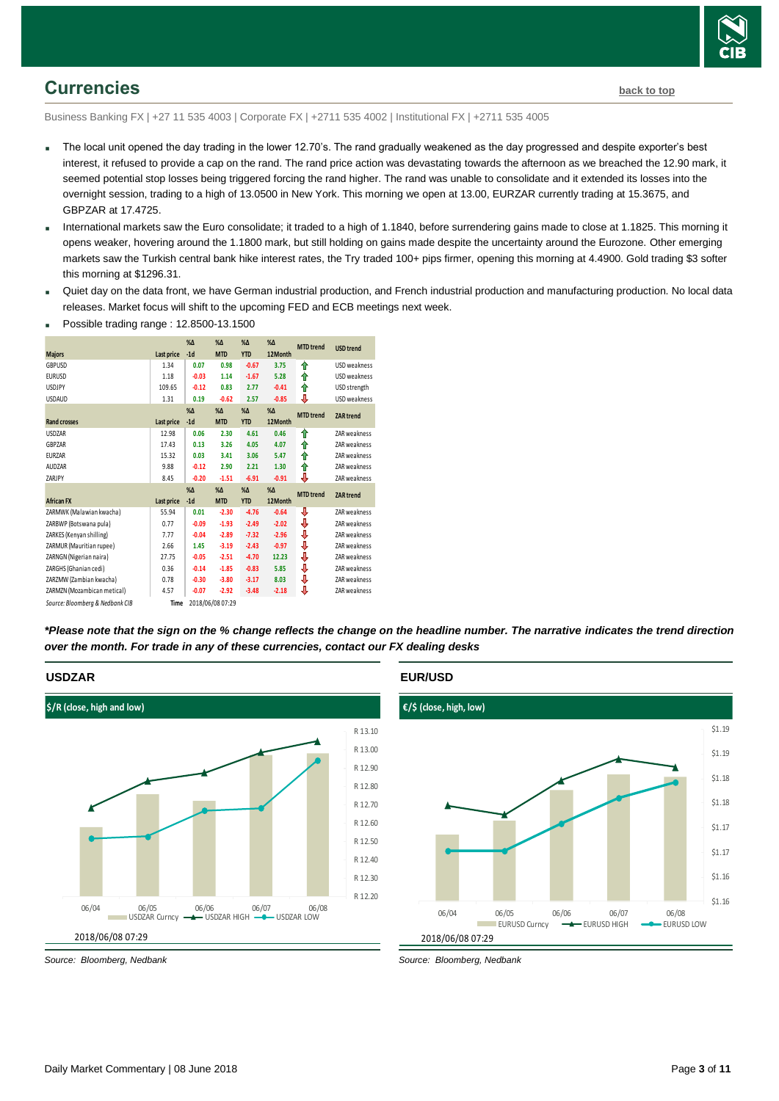

### <span id="page-2-0"></span>**Currencies [back to top](#page-0-0)**

Business Banking FX | +27 11 535 4003 | Corporate FX | +2711 535 4002 | Institutional FX | +2711 535 4005

- The local unit opened the day trading in the lower 12.70's. The rand gradually weakened as the day progressed and despite exporter's best interest, it refused to provide a cap on the rand. The rand price action was devastating towards the afternoon as we breached the 12.90 mark, it seemed potential stop losses being triggered forcing the rand higher. The rand was unable to consolidate and it extended its losses into the overnight session, trading to a high of 13.0500 in New York. This morning we open at 13.00, EURZAR currently trading at 15.3675, and GBPZAR at 17.4725.
- International markets saw the Euro consolidate; it traded to a high of 1.1840, before surrendering gains made to close at 1.1825. This morning it opens weaker, hovering around the 1.1800 mark, but still holding on gains made despite the uncertainty around the Eurozone. Other emerging markets saw the Turkish central bank hike interest rates, the Try traded 100+ pips firmer, opening this morning at 4.4900. Gold trading \$3 softer this morning at \$1296.31.
- Quiet day on the data front, we have German industrial production, and French industrial production and manufacturing production. No local data releases. Market focus will shift to the upcoming FED and ECB meetings next week.



Possible trading range : 12.8500-13.1500

*\*Please note that the sign on the % change reflects the change on the headline number. The narrative indicates the trend direction over the month. For trade in any of these currencies, contact our FX dealing desks*



*Source: Bloomberg, Nedbank*

**EUR/USD**



*Source: Bloomberg, Nedbank*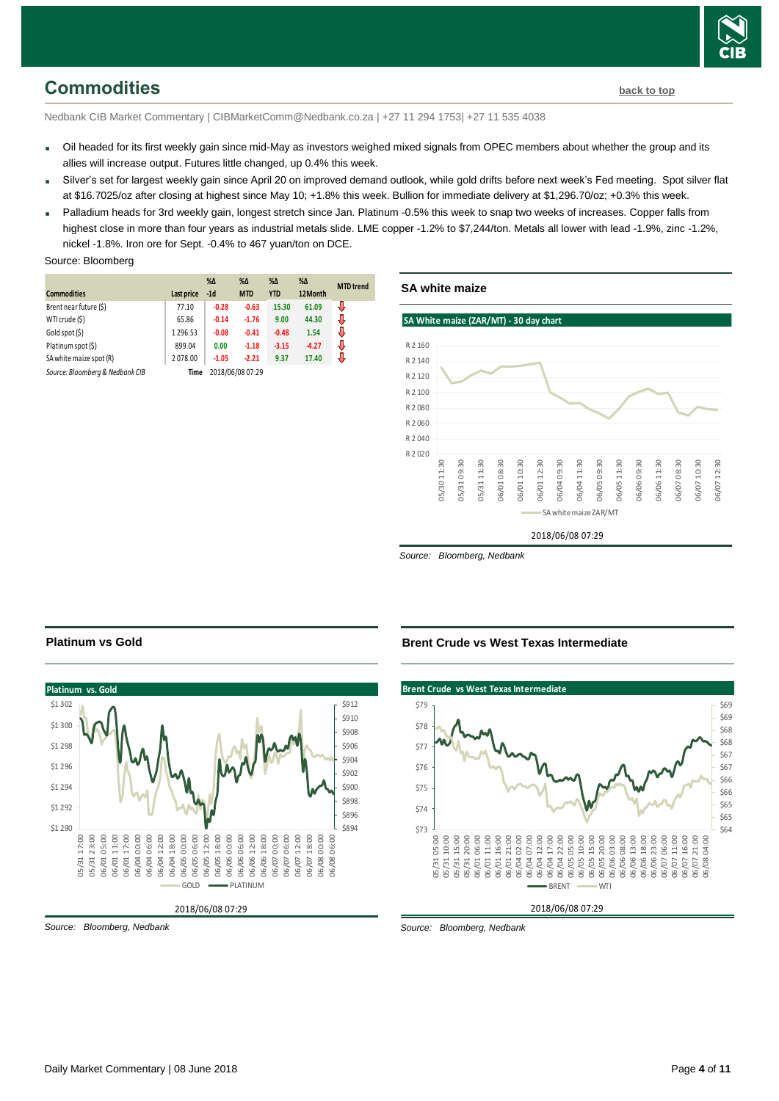

### <span id="page-3-0"></span>**Commodities [back to top](#page-0-0)**

Nedbank CIB Market Commentary | CIBMarketComm@Nedbank.co.za | +27 11 294 1753| +27 11 535 4038

- Oil headed for its first weekly gain since mid-May as investors weighed mixed signals from OPEC members about whether the group and its allies will increase output. Futures little changed, up 0.4% this week.
- Silver's set for largest weekly gain since April 20 on improved demand outlook, while gold drifts before next week's Fed meeting. Spot silver flat at \$16.7025/oz after closing at highest since May 10; +1.8% this week. Bullion for immediate delivery at \$1,296.70/oz; +0.3% this week.
- Palladium heads for 3rd weekly gain, longest stretch since Jan. Platinum -0.5% this week to snap two weeks of increases. Copper falls from highest close in more than four years as industrial metals slide. LME copper -1.2% to \$7,244/ton. Metals all lower with lead -1.9%, zinc -1.2%, nickel -1.8%. Iron ore for Sept. -0.4% to 467 yuan/ton on DCE.

#### Source: Bloomberg

| <b>Commodities</b>              | Last price | $% \Delta$<br>$-1d$ | $% \Delta$<br><b>MTD</b> | $\% \Delta$<br><b>YTD</b> | $% \Delta$<br>12Month | <b>MTD</b> trend |
|---------------------------------|------------|---------------------|--------------------------|---------------------------|-----------------------|------------------|
| Brent near future (\$)          | 77.10      | $-0.28$             | $-0.63$                  | 15.30                     | 61.09                 | ₩                |
| WTI crude (\$)                  | 65.86      | $-0.14$             | $-1.76$                  | 9.00                      | 44.30                 | J                |
| Gold spot (\$)                  | 1296.53    | $-0.08$             | $-0.41$                  | $-0.48$                   | 1.54                  | J                |
| Platinum spot (\$)              | 899.04     | 0.00                | $-1.18$                  | $-3.15$                   | $-4.27$               | J                |
| SA white maize spot (R)         | 2078.00    | $-1.05$             | $-2.21$                  | 9.37                      | 17.40                 | J                |
| Source: Bloomberg & Nedbank CIB | Time       |                     | 2018/06/08 07:29         |                           |                       |                  |





*Source: Bloomberg, Nedbank*

# **Platinum vs Gold**



*Source: Bloomberg, Nedbank*

#### **Brent Crude vs West Texas Intermediate**

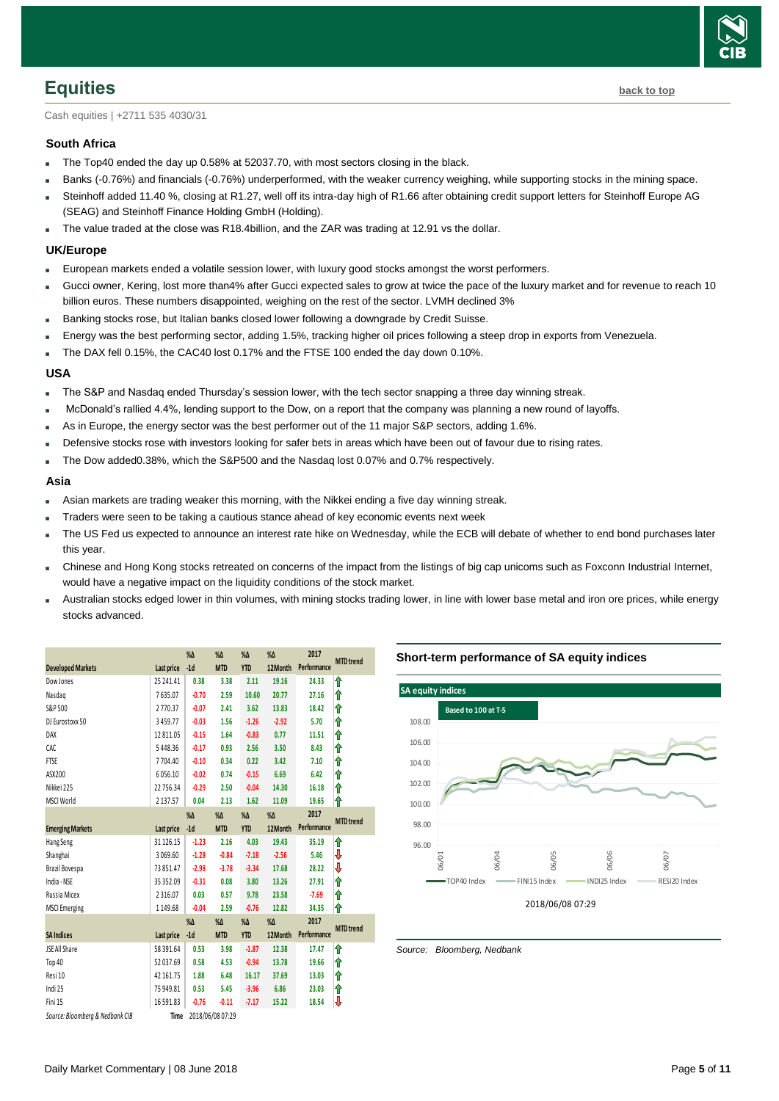

<span id="page-4-0"></span>Cash equities | +2711 535 4030/31

#### **South Africa**

- The Top40 ended the day up 0.58% at 52037.70, with most sectors closing in the black.
- Banks (-0.76%) and financials (-0.76%) underperformed, with the weaker currency weighing, while supporting stocks in the mining space.
- Steinhoff added 11.40 %, closing at R1.27, well off its intra-day high of R1.66 after obtaining credit support letters for Steinhoff Europe AG (SEAG) and Steinhoff Finance Holding GmbH (Holding).
- The value traded at the close was R18.4billion, and the ZAR was trading at 12.91 vs the dollar.

#### **UK/Europe**

- European markets ended a volatile session lower, with luxury good stocks amongst the worst performers.
- Gucci owner, Kering, lost more than4% after Gucci expected sales to grow at twice the pace of the luxury market and for revenue to reach 10 billion euros. These numbers disappointed, weighing on the rest of the sector. LVMH declined 3%
- Banking stocks rose, but Italian banks closed lower following a downgrade by Credit Suisse.
- Energy was the best performing sector, adding 1.5%, tracking higher oil prices following a steep drop in exports from Venezuela.
- The DAX fell 0.15%, the CAC40 lost 0.17% and the FTSE 100 ended the day down 0.10%.

#### **USA**

- The S&P and Nasdaq ended Thursday's session lower, with the tech sector snapping a three day winning streak.
- McDonald's rallied 4.4%, lending support to the Dow, on a report that the company was planning a new round of layoffs.
- As in Europe, the energy sector was the best performer out of the 11 major S&P sectors, adding 1.6%.
- Defensive stocks rose with investors looking for safer bets in areas which have been out of favour due to rising rates.
- The Dow added0.38%, which the S&P500 and the Nasdaq lost 0.07% and 0.7% respectively.

#### **Asia**

- Asian markets are trading weaker this morning, with the Nikkei ending a five day winning streak.
- Traders were seen to be taking a cautious stance ahead of key economic events next week
- The US Fed us expected to announce an interest rate hike on Wednesday, while the ECB will debate of whether to end bond purchases later this year.
- Chinese and Hong Kong stocks retreated on concerns of the impact from the listings of big cap unicoms such as Foxconn Industrial Internet, would have a negative impact on the liquidity conditions of the stock market.
- Australian stocks edged lower in thin volumes, with mining stocks trading lower, in line with lower base metal and iron ore prices, while energy stocks advanced.

|                                 |               | %Δ            | %Δ               | $% \Delta$    | $% \Delta$    | 2017        | <b>MTD</b> trend |
|---------------------------------|---------------|---------------|------------------|---------------|---------------|-------------|------------------|
| <b>Developed Markets</b>        | Last price    | $-1d$         | <b>MTD</b>       | <b>YTD</b>    | 12Month       | Performance |                  |
| Dow Jones                       | 25 24 1.41    | 0.38          | 3.38             | 2.11          | 19.16         | 24.33       | ⇑                |
| Nasdag                          | 7635.07       | $-0.70$       | 2.59             | 10.60         | 20.77         | 27.16       | ⇑                |
| S&P 500                         | 2770.37       | $-0.07$       | 2.41             | 3.62          | 13.83         | 18.42       | ⇑                |
| DJ Eurostoxx 50                 | 3459.77       | $-0.03$       | 1.56             | $-1.26$       | $-2.92$       | 5.70        | ⋔                |
| DAX                             | 12 811.05     | $-0.15$       | 1.64             | $-0.83$       | 0.77          | 11.51       | ⇑                |
| CAC                             | 5448.36       | $-0.17$       | 0.93             | 2.56          | 3.50          | 8.43        | ⇑                |
| FTSE                            | 7704.40       | $-0.10$       | 0.34             | 0.22          | 3.42          | 7.10        | ⇑                |
| ASX200                          | 6056.10       | $-0.02$       | 0.74             | $-0.15$       | 6.69          | 6.42        | ⇑                |
| Nikkei 225                      | 22 756.34     | $-0.29$       | 2.50             | $-0.04$       | 14.30         | 16.18       | ⋔                |
| <b>MSCI World</b>               | 2 1 3 7 . 5 7 | 0.04          | 2.13             | 1.62          | 11.09         | 19.65       | ⋔                |
|                                 |               | $% \Delta$    | %Δ               | $% \Delta$    | $\%$ $\Delta$ | 2017        |                  |
| <b>Emerging Markets</b>         | Last price    | $-1d$         | <b>MTD</b>       | <b>YTD</b>    | 12Month       | Performance | <b>MTD</b> trend |
| Hang Seng                       | 31 126.15     | $-1.23$       | 2.16             | 4.03          | 19.43         | 35.19       | ⇑                |
| Shanghai                        | 3069.60       | $-1.28$       | $-0.84$          | $-7.18$       | $-2.56$       | 5.46        | ₩                |
| Brazil Bovespa                  | 73851.47      | $-2.98$       | $-3.78$          | $-3.34$       | 17.68         | 28.22       | ₩                |
| India - NSE                     | 35 35 2.09    | $-0.31$       | 0.08             | 3.80          | 13.26         | 27.91       | ⇑                |
| Russia Micex                    | 2316.07       | 0.03          | 0.57             | 9.78          | 23.58         | $-7.69$     | ⋔                |
| <b>MSCI</b> Emerging            | 1149.68       | $-0.04$       | 2.59             | $-0.76$       | 12.82         | 34.35       | ⇑                |
|                                 |               | $\%$ $\Delta$ | %Δ               | $\%$ $\Delta$ | $\%$ $\Delta$ | 2017        |                  |
| <b>SA Indices</b>               | Last price    | $-1d$         | <b>MTD</b>       | <b>YTD</b>    | 12Month       | Performance | <b>MTD</b> trend |
| JSE All Share                   | 58 39 1.64    | 0.53          | 3.98             | $-1.87$       | 12.38         | 17.47       | ⇑                |
| Top 40                          | 52037.69      | 0.58          | 4.53             | $-0.94$       | 13.78         | 19.66       | ⇑                |
| Resi 10                         | 42 161.75     | 1.88          | 6.48             | 16.17         | 37.69         | 13.03       | ⇑                |
| Indi 25                         | 75 949.81     | 0.53          | 5.45             | $-3.96$       | 6.86          | 23.03       | It               |
| Fini 15                         | 16591.83      | $-0.76$       | $-0.11$          | $-7.17$       | 15.22         | 18.54       | V                |
| Source: Bloomberg & Nedbank CIB | Time          |               | 2018/06/08 07:29 |               |               |             |                  |

#### **Short-term performance of SA equity indices**

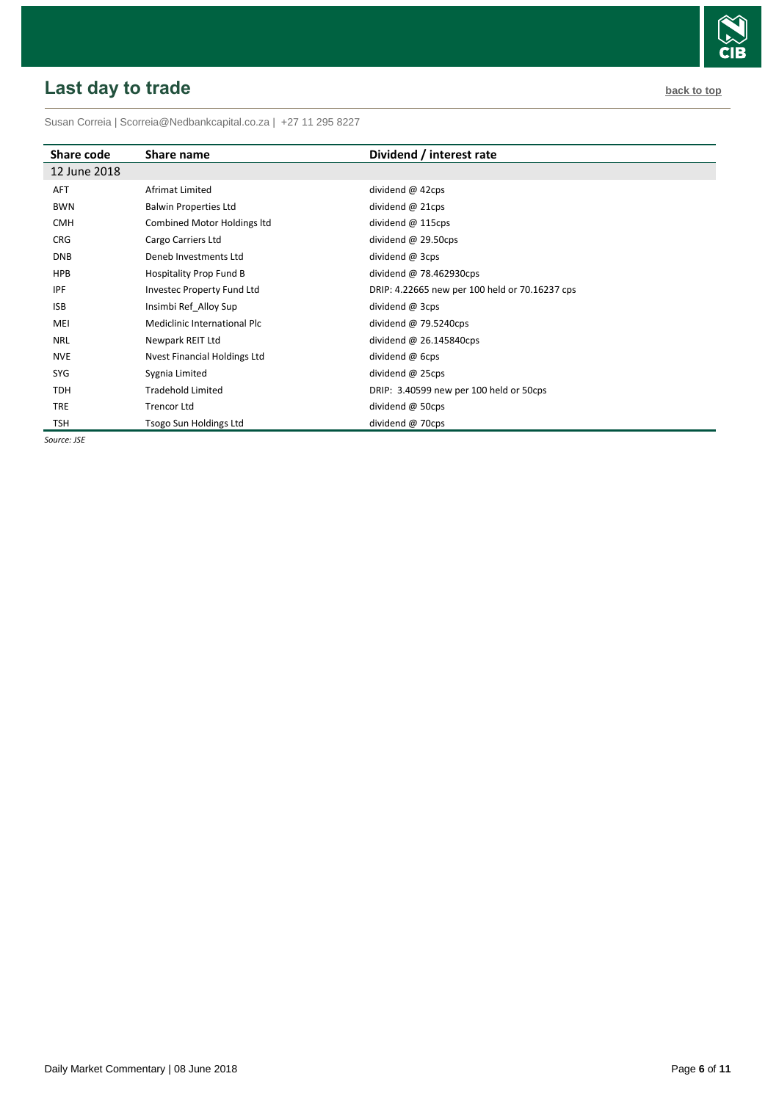# <span id="page-5-0"></span>**Last day to trade back to the contract of the contract of the contract of the contract of the contract of the contract of the contract of the contract of the contract of the contract of the contract of the contract of t**



Susan Correia [| Scorreia@Nedbankcapital.co.za](mailto:Scorreia@Nedbankcapital.co.za) | +27 11 295 8227

| Share code   | Share name                   | Dividend / interest rate                       |
|--------------|------------------------------|------------------------------------------------|
| 12 June 2018 |                              |                                                |
| <b>AFT</b>   | Afrimat Limited              | dividend $@$ 42cps                             |
| <b>BWN</b>   | <b>Balwin Properties Ltd</b> | dividend $@$ 21cps                             |
| <b>CMH</b>   | Combined Motor Holdings Itd  | dividend @ 115cps                              |
| <b>CRG</b>   | Cargo Carriers Ltd           | dividend $@$ 29.50cps                          |
| <b>DNB</b>   | Deneb Investments Ltd        | dividend @ 3cps                                |
| <b>HPB</b>   | Hospitality Prop Fund B      | dividend $@$ 78.462930cps                      |
| IPF          | Investec Property Fund Ltd   | DRIP: 4.22665 new per 100 held or 70.16237 cps |
| <b>ISB</b>   | Insimbi Ref Alloy Sup        | dividend @ 3cps                                |
| MEI          | Mediclinic International Plc | dividend $@$ 79.5240cps                        |
| <b>NRL</b>   | Newpark REIT Ltd             | dividend $@$ 26.145840cps                      |
| <b>NVE</b>   | Nvest Financial Holdings Ltd | dividend @ 6cps                                |
| SYG          | Sygnia Limited               | dividend @ 25cps                               |
| TDH          | <b>Tradehold Limited</b>     | DRIP: 3.40599 new per 100 held or 50cps        |
| <b>TRE</b>   | <b>Trencor Ltd</b>           | dividend @ 50cps                               |
| <b>TSH</b>   | Tsogo Sun Holdings Ltd       | dividend @ 70cps                               |

*Source: JSE*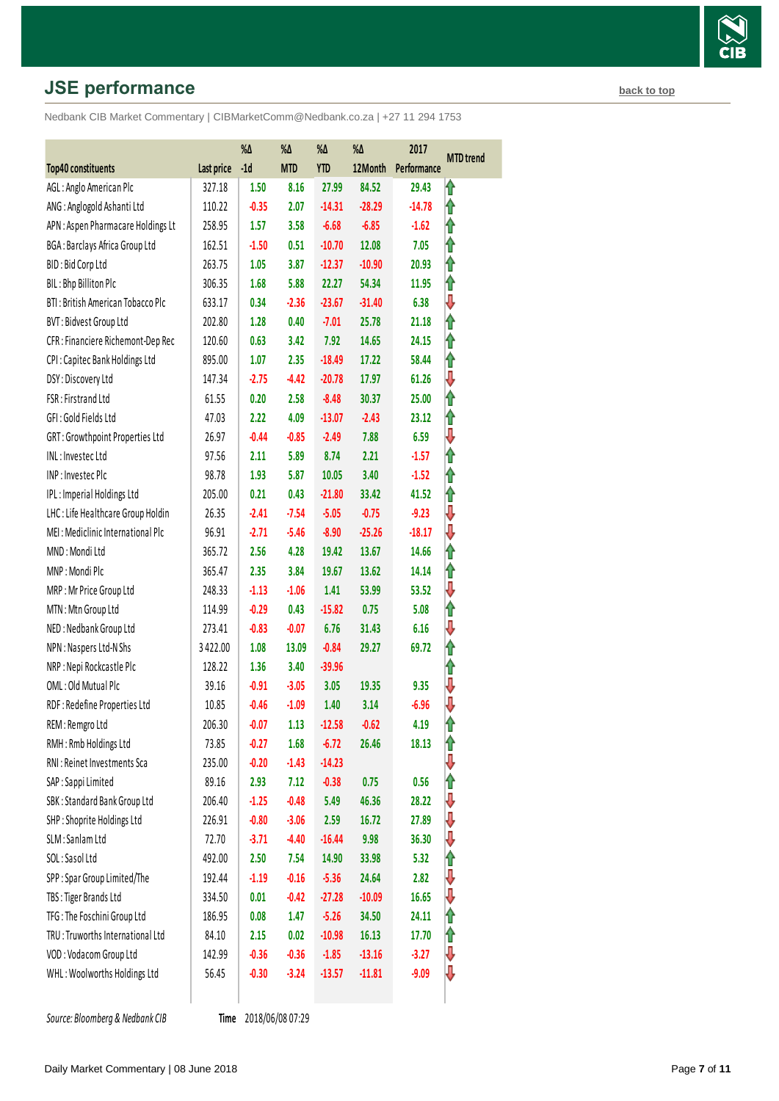# **JSE performance [back to top](#page-0-0) back to top**

Nedbank CIB Market Commentary | CIBMarketComm@Nedbank.co.za | +27 11 294 1753

|                                    |            | %Δ      | %Δ         | %Δ         | %Δ       | 2017        | <b>MTD</b> trend |
|------------------------------------|------------|---------|------------|------------|----------|-------------|------------------|
| Top40 constituents                 | Last price | $-1d$   | <b>MTD</b> | <b>YTD</b> | 12Month  | Performance |                  |
| AGL: Anglo American Plc            | 327.18     | 1.50    | 8.16       | 27.99      | 84.52    | 29.43       | ⋔                |
| ANG: Anglogold Ashanti Ltd         | 110.22     | $-0.35$ | 2.07       | $-14.31$   | $-28.29$ | $-14.78$    | ⇑                |
| APN : Aspen Pharmacare Holdings Lt | 258.95     | 1.57    | 3.58       | $-6.68$    | $-6.85$  | $-1.62$     | ⇑                |
| BGA: Barclays Africa Group Ltd     | 162.51     | $-1.50$ | 0.51       | $-10.70$   | 12.08    | 7.05        | ⇑                |
| BID: Bid Corp Ltd                  | 263.75     | 1.05    | 3.87       | $-12.37$   | $-10.90$ | 20.93       | ⇑                |
| BIL: Bhp Billiton Plc              | 306.35     | 1.68    | 5.88       | 22.27      | 54.34    | 11.95       | ⇑                |
| BTI: British American Tobacco Plc  | 633.17     | 0.34    | $-2.36$    | $-23.67$   | $-31.40$ | 6.38        | ⇩                |
| BVT: Bidvest Group Ltd             | 202.80     | 1.28    | 0.40       | $-7.01$    | 25.78    | 21.18       | 1                |
| CFR : Financiere Richemont-Dep Rec | 120.60     | 0.63    | 3.42       | 7.92       | 14.65    | 24.15       | ⇑                |
| CPI: Capitec Bank Holdings Ltd     | 895.00     | 1.07    | 2.35       | $-18.49$   | 17.22    | 58.44       | ⇑                |
| DSY: Discovery Ltd                 | 147.34     | $-2.75$ | $-4.42$    | $-20.78$   | 17.97    | 61.26       | ⇩                |
| FSR: Firstrand Ltd                 | 61.55      | 0.20    | 2.58       | $-8.48$    | 30.37    | 25.00       | ⇑                |
| GFI: Gold Fields Ltd               | 47.03      | 2.22    | 4.09       | $-13.07$   | $-2.43$  | 23.12       | ⇑                |
| GRT: Growthpoint Properties Ltd    | 26.97      | $-0.44$ | $-0.85$    | $-2.49$    | 7.88     | 6.59        | ⇩                |
| INL: Investec Ltd                  | 97.56      | 2.11    | 5.89       | 8.74       | 2.21     | $-1.57$     | ĥ                |
| INP: Investec Plc                  | 98.78      | 1.93    | 5.87       | 10.05      | 3.40     | $-1.52$     | ⇑                |
| IPL: Imperial Holdings Ltd         | 205.00     | 0.21    | 0.43       | $-21.80$   | 33.42    | 41.52       | ⇑                |
| LHC: Life Healthcare Group Holdin  | 26.35      | $-2.41$ | $-7.54$    | $-5.05$    | $-0.75$  | $-9.23$     | ⇩                |
| MEI: Mediclinic International Plc  | 96.91      | $-2.71$ | $-5.46$    | $-8.90$    | $-25.26$ | $-18.17$    | ⇩                |
| MND: Mondi Ltd                     | 365.72     | 2.56    | 4.28       | 19.42      | 13.67    | 14.66       | 1                |
| MNP: Mondi Plc                     | 365.47     | 2.35    | 3.84       | 19.67      | 13.62    | 14.14       | ⇑                |
| MRP: Mr Price Group Ltd            | 248.33     | $-1.13$ | $-1.06$    | 1.41       | 53.99    | 53.52       | ⇩                |
| MTN: Mtn Group Ltd                 | 114.99     | $-0.29$ | 0.43       | $-15.82$   | 0.75     | 5.08        | ⇑                |
| NED: Nedbank Group Ltd             | 273.41     | $-0.83$ | $-0.07$    | 6.76       | 31.43    | 6.16        | ⇩                |
| NPN: Naspers Ltd-N Shs             | 3422.00    | 1.08    | 13.09      | $-0.84$    | 29.27    | 69.72       | ⇑                |
| NRP : Nepi Rockcastle Plc          | 128.22     | 1.36    | 3.40       | $-39.96$   |          |             | ⇑                |
| OML: Old Mutual Plc                | 39.16      | $-0.91$ | $-3.05$    | 3.05       | 19.35    | 9.35        | ⇩                |
| RDF: Redefine Properties Ltd       | 10.85      | $-0.46$ | $-1.09$    | 1.40       | 3.14     | $-6.96$     | ⇩                |
| REM: Remgro Ltd                    | 206.30     | $-0.07$ | 1.13       | $-12.58$   | $-0.62$  | 4.19        | 1                |
| RMH: Rmb Holdings Ltd              | 73.85      | $-0.27$ | 1.68       | $-6.72$    | 26.46    | 18.13       | ⇑                |
| RNI : Reinet Investments Sca       | 235.00     | $-0.20$ | $-1.43$    | $-14.23$   |          |             | ⇩                |
| SAP: Sappi Limited                 | 89.16      | 2.93    | 7.12       | $-0.38$    | 0.75     | 0.56        | ⇑                |
| SBK: Standard Bank Group Ltd       | 206.40     | $-1.25$ | $-0.48$    | 5.49       | 46.36    | 28.22       | ⇩                |
| SHP: Shoprite Holdings Ltd         | 226.91     | $-0.80$ | $-3.06$    | 2.59       | 16.72    | 27.89       | ⇩                |
| SLM: Sanlam Ltd                    | 72.70      | $-3.71$ | $-4.40$    | $-16.44$   | 9.98     | 36.30       | ⇩                |
| SOL: Sasol Ltd                     | 492.00     | 2.50    | 7.54       | 14.90      | 33.98    | 5.32        | ⇑                |
| SPP: Spar Group Limited/The        | 192.44     | $-1.19$ | $-0.16$    | $-5.36$    | 24.64    | 2.82        | ⇩                |
| TBS: Tiger Brands Ltd              | 334.50     | 0.01    | $-0.42$    | $-27.28$   | $-10.09$ | 16.65       | ⇓                |
| TFG: The Foschini Group Ltd        | 186.95     | 0.08    | 1.47       | $-5.26$    | 34.50    | 24.11       | ⇑                |
| TRU : Truworths International Ltd  | 84.10      | 2.15    | 0.02       | $-10.98$   | 16.13    | 17.70       | ⇑                |
| VOD: Vodacom Group Ltd             | 142.99     | $-0.36$ | $-0.36$    | $-1.85$    | $-13.16$ | $-3.27$     | ⇓                |
| WHL: Woolworths Holdings Ltd       | 56.45      | $-0.30$ | $-3.24$    | $-13.57$   | $-11.81$ | $-9.09$     | ₩                |
|                                    |            |         |            |            |          |             |                  |

**Source: Bloomberg & Nedbank CIB** 

Time 2018/06/08 07:29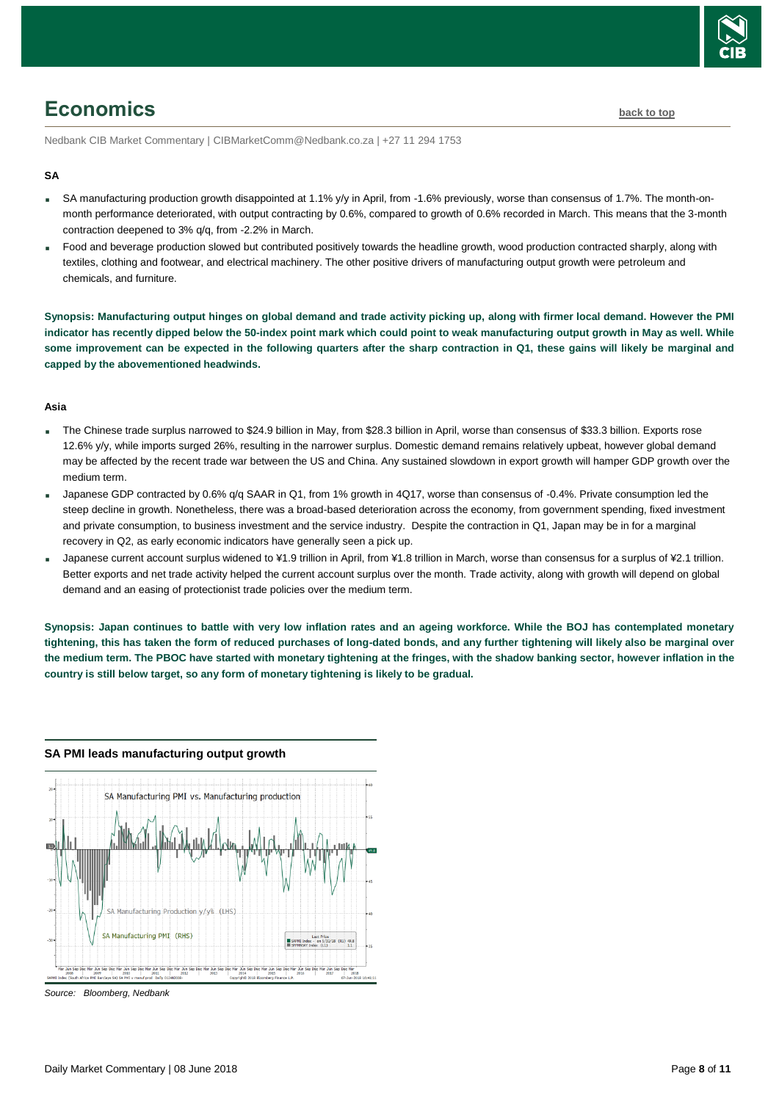

# <span id="page-7-0"></span>**Economics [back to top](#page-0-0)**

Nedbank CIB Market Commentary | CIBMarketComm@Nedbank.co.za | +27 11 294 1753

#### **SA**

- SA manufacturing production growth disappointed at 1.1% y/y in April, from -1.6% previously, worse than consensus of 1.7%. The month-onmonth performance deteriorated, with output contracting by 0.6%, compared to growth of 0.6% recorded in March. This means that the 3-month contraction deepened to 3% q/q, from -2.2% in March.
- Food and beverage production slowed but contributed positively towards the headline growth, wood production contracted sharply, along with textiles, clothing and footwear, and electrical machinery. The other positive drivers of manufacturing output growth were petroleum and chemicals, and furniture.

**Synopsis: Manufacturing output hinges on global demand and trade activity picking up, along with firmer local demand. However the PMI indicator has recently dipped below the 50-index point mark which could point to weak manufacturing output growth in May as well. While some improvement can be expected in the following quarters after the sharp contraction in Q1, these gains will likely be marginal and capped by the abovementioned headwinds.** 

#### **Asia**

- The Chinese trade surplus narrowed to \$24.9 billion in May, from \$28.3 billion in April, worse than consensus of \$33.3 billion. Exports rose 12.6% y/y, while imports surged 26%, resulting in the narrower surplus. Domestic demand remains relatively upbeat, however global demand may be affected by the recent trade war between the US and China. Any sustained slowdown in export growth will hamper GDP growth over the medium term.
- Japanese GDP contracted by 0.6% q/q SAAR in Q1, from 1% growth in 4Q17, worse than consensus of -0.4%. Private consumption led the steep decline in growth. Nonetheless, there was a broad-based deterioration across the economy, from government spending, fixed investment and private consumption, to business investment and the service industry. Despite the contraction in Q1, Japan may be in for a marginal recovery in Q2, as early economic indicators have generally seen a pick up.
- Japanese current account surplus widened to ¥1.9 trillion in April, from ¥1.8 trillion in March, worse than consensus for a surplus of ¥2.1 trillion. Better exports and net trade activity helped the current account surplus over the month. Trade activity, along with growth will depend on global demand and an easing of protectionist trade policies over the medium term.

**Synopsis: Japan continues to battle with very low inflation rates and an ageing workforce. While the BOJ has contemplated monetary tightening, this has taken the form of reduced purchases of long-dated bonds, and any further tightening will likely also be marginal over the medium term. The PBOC have started with monetary tightening at the fringes, with the shadow banking sector, however inflation in the country is still below target, so any form of monetary tightening is likely to be gradual.**



#### **SA PMI leads manufacturing output growth**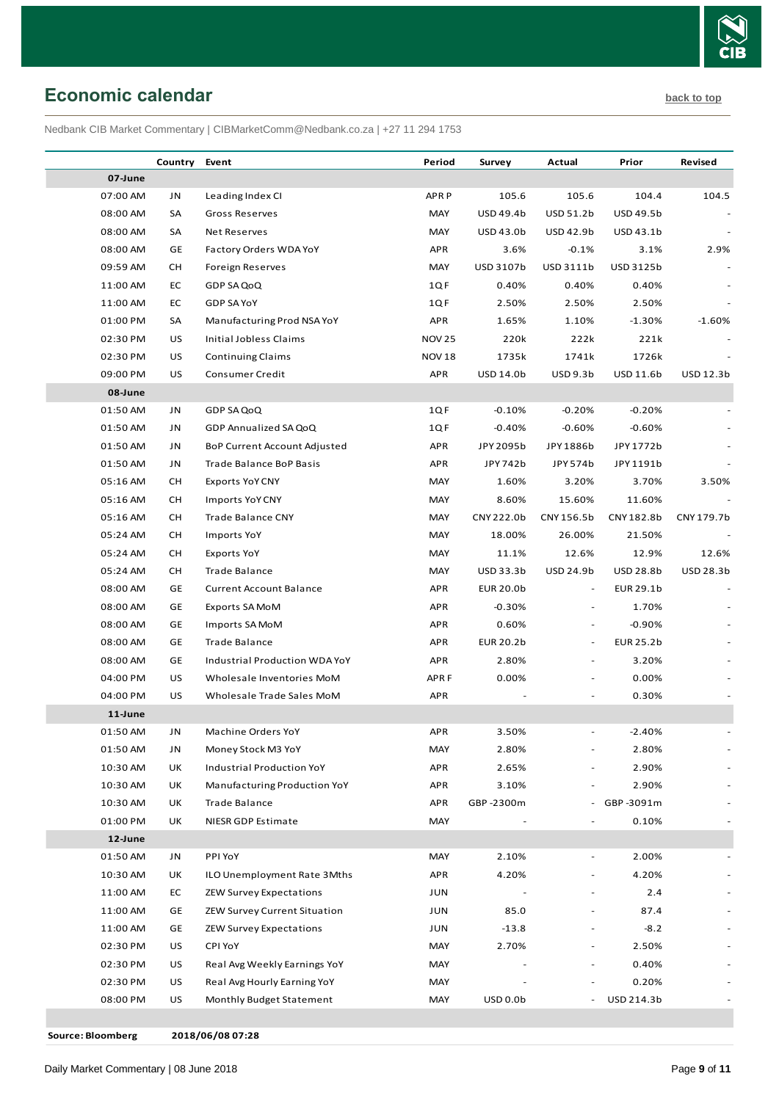

# <span id="page-8-0"></span>**Economic calendar [back to top](#page-0-0)**

Nedbank CIB Market Commentary | CIBMarketComm@Nedbank.co.za | +27 11 294 1753

|          | Country   | Event                               | Period           | Survey           | Actual                   | Prior            | Revised    |
|----------|-----------|-------------------------------------|------------------|------------------|--------------------------|------------------|------------|
| 07-June  |           |                                     |                  |                  |                          |                  |            |
| 07:00 AM | JN        | Leading Index CI                    | <b>APRP</b>      | 105.6            | 105.6                    | 104.4            | 104.5      |
| 08:00 AM | SA        | <b>Gross Reserves</b>               | MAY              | USD 49.4b        | USD 51.2b                | <b>USD 49.5b</b> |            |
| 08:00 AM | SA        | <b>Net Reserves</b>                 | MAY              | USD 43.0b        | USD 42.9b                | USD 43.1b        |            |
| 08:00 AM | GE        | Factory Orders WDA YoY              | <b>APR</b>       | 3.6%             | $-0.1%$                  | 3.1%             | 2.9%       |
| 09:59 AM | CН        | Foreign Reserves                    | MAY              | USD 3107b        | USD 3111b                | USD 3125b        |            |
| 11:00 AM | EC        | GDP SA QoQ                          | 1QF              | 0.40%            | 0.40%                    | 0.40%            |            |
| 11:00 AM | EC        | GDP SA YoY                          | 1QF              | 2.50%            | 2.50%                    | 2.50%            |            |
| 01:00 PM | SA        | Manufacturing Prod NSA YoY          | <b>APR</b>       | 1.65%            | 1.10%                    | $-1.30%$         | $-1.60%$   |
| 02:30 PM | US        | Initial Jobless Claims              | <b>NOV 25</b>    | 220k             | 222k                     | 221k             |            |
| 02:30 PM | US        | <b>Continuing Claims</b>            | <b>NOV 18</b>    | 1735k            | 1741k                    | 1726k            |            |
| 09:00 PM | US        | Consumer Credit                     | <b>APR</b>       | USD 14.0b        | USD 9.3b                 | USD 11.6b        | USD 12.3b  |
| 08-June  |           |                                     |                  |                  |                          |                  |            |
| 01:50 AM | JN        | GDP SA QoQ                          | 1QF              | $-0.10%$         | $-0.20%$                 | $-0.20%$         |            |
| 01:50 AM | JN        | GDP Annualized SA QoQ               | 1QF              | $-0.40%$         | $-0.60%$                 | $-0.60%$         |            |
| 01:50 AM | JN        | <b>BoP Current Account Adjusted</b> | <b>APR</b>       | JPY 2095b        | JPY 1886b                | JPY 1772b        |            |
| 01:50 AM | JN        | Trade Balance BoP Basis             | <b>APR</b>       | JPY 742b         | JPY 574b                 | JPY 1191b        |            |
| 05:16 AM | CН        | <b>Exports YoY CNY</b>              | MAY              | 1.60%            | 3.20%                    | 3.70%            | 3.50%      |
| 05:16 AM | <b>CH</b> | Imports YoY CNY                     | MAY              | 8.60%            | 15.60%                   | 11.60%           |            |
| 05:16 AM | СH        | Trade Balance CNY                   | MAY              | CNY 222.0b       | CNY 156.5b               | CNY182.8b        | CNY 179.7b |
| 05:24 AM | <b>CH</b> | Imports YoY                         | MAY              | 18.00%           | 26.00%                   | 21.50%           |            |
| 05:24 AM | CН        | Exports YoY                         | MAY              | 11.1%            | 12.6%                    | 12.9%            | 12.6%      |
| 05:24 AM | CН        | <b>Trade Balance</b>                | MAY              | USD 33.3b        | USD 24.9b                | <b>USD 28.8b</b> | USD 28.3b  |
| 08:00 AM | GE        | <b>Current Account Balance</b>      | <b>APR</b>       | <b>EUR 20.0b</b> | $\sim$                   | EUR 29.1b        |            |
| 08:00 AM | GE        | Exports SA MoM                      | <b>APR</b>       | $-0.30%$         | $\overline{\phantom{a}}$ | 1.70%            |            |
| 08:00 AM | GE        | Imports SA MoM                      | <b>APR</b>       | 0.60%            | $\overline{\phantom{0}}$ | $-0.90%$         |            |
| 08:00 AM | GE        | Trade Balance                       | <b>APR</b>       | <b>EUR 20.2b</b> | $\overline{\phantom{a}}$ | <b>EUR 25.2b</b> |            |
| 08:00 AM | GE        | Industrial Production WDA YoY       | <b>APR</b>       | 2.80%            |                          | 3.20%            |            |
| 04:00 PM | US        | Wholesale Inventories MoM           | APR <sub>F</sub> | 0.00%            |                          | 0.00%            |            |
| 04:00 PM | US        | Wholesale Trade Sales MoM           | <b>APR</b>       |                  |                          | 0.30%            |            |
| 11-June  |           |                                     |                  |                  |                          |                  |            |
| 01:50 AM | <b>JN</b> | Machine Orders YoY                  | APR              | 3.50%            |                          | $-2.40%$         |            |
| 01:50 AM | JN        | Money Stock M3 YoY                  | MAY              | 2.80%            |                          | 2.80%            |            |
| 10:30 AM | UK        | Industrial Production YoY           | <b>APR</b>       | 2.65%            |                          | 2.90%            |            |
| 10:30 AM | UK        | Manufacturing Production YoY        | <b>APR</b>       | 3.10%            |                          | 2.90%            |            |
| 10:30 AM | UK        | Trade Balance                       | <b>APR</b>       | GBP-2300m        | ۰.                       | GBP-3091m        |            |
| 01:00 PM | UK        | NIESR GDP Estimate                  | MAY              |                  |                          | 0.10%            |            |
| 12-June  |           |                                     |                  |                  |                          |                  |            |
| 01:50 AM | JN        | PPI YoY                             | MAY              | 2.10%            | ÷,                       | 2.00%            |            |
| 10:30 AM | UK        | ILO Unemployment Rate 3Mths         | <b>APR</b>       | 4.20%            |                          | 4.20%            |            |
| 11:00 AM | EC        | <b>ZEW Survey Expectations</b>      | JUN              |                  |                          | 2.4              |            |
| 11:00 AM | GE        | <b>ZEW Survey Current Situation</b> | JUN              | 85.0             |                          | 87.4             |            |
| 11:00 AM | GE        | <b>ZEW Survey Expectations</b>      | JUN              | $-13.8$          |                          | $-8.2$           |            |
| 02:30 PM | US        | CPI YoY                             | MAY              | 2.70%            |                          | 2.50%            |            |
| 02:30 PM | US        | Real Avg Weekly Earnings YoY        | MAY              |                  |                          | 0.40%            |            |
| 02:30 PM | US        | Real Avg Hourly Earning YoY         | MAY              |                  |                          | 0.20%            |            |
| 08:00 PM | US        | Monthly Budget Statement            | MAY              | <b>USD 0.0b</b>  | $\overline{\phantom{a}}$ | USD 214.3b       |            |
|          |           |                                     |                  |                  |                          |                  |            |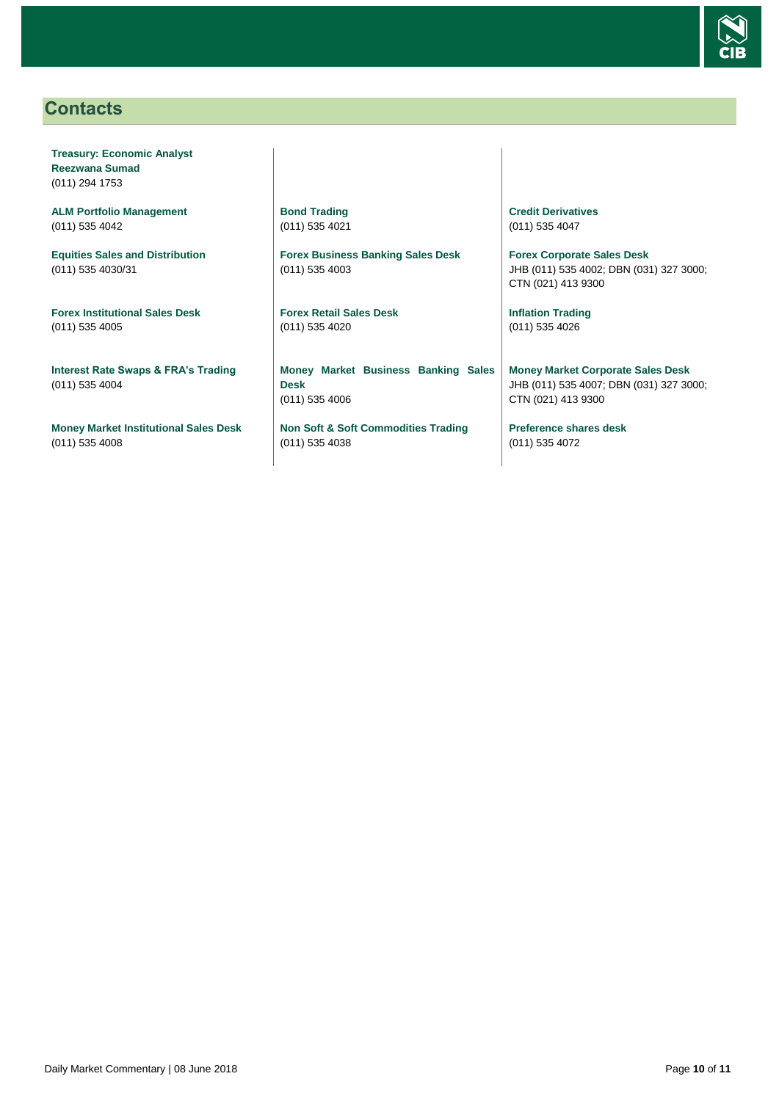

# <span id="page-9-0"></span>**Contacts**

**Treasury: Economic Analyst Reezwana Sumad** (011) 294 1753

**ALM Portfolio Management** (011) 535 4042

**Equities Sales and Distribution** (011) 535 4030/31

**Forex Institutional Sales Desk** (011) 535 4005

**Interest Rate Swaps & FRA's Trading** (011) 535 4004

**Money Market Institutional Sales Desk** (011) 535 4008

**Bond Trading** (011) 535 4021

**Forex Business Banking Sales Desk** (011) 535 4003

**Forex Retail Sales Desk** (011) 535 4020

**Money Market Business Banking Sales Desk** (011) 535 4006

**Non Soft & Soft Commodities Trading** (011) 535 4038

**Credit Derivatives**  (011) 535 4047

**Forex Corporate Sales Desk** JHB (011) 535 4002; DBN (031) 327 3000; CTN (021) 413 9300

**Inflation Trading** (011) 535 4026

**Money Market Corporate Sales Desk** JHB (011) 535 4007; DBN (031) 327 3000; CTN (021) 413 9300

**Preference shares desk** (011) 535 4072